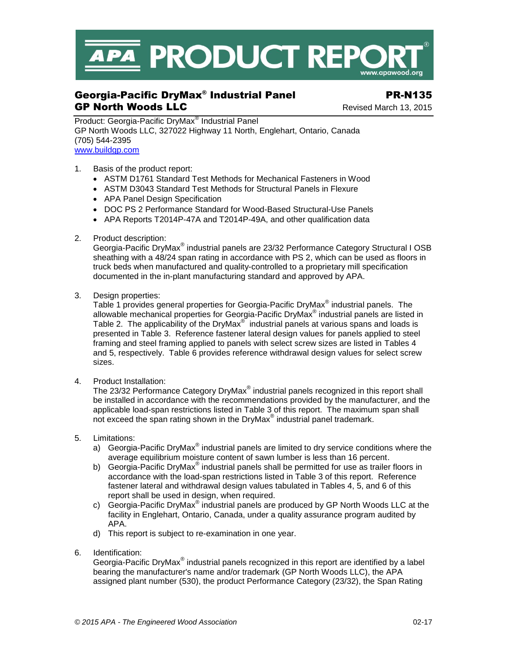

# Georgia-Pacific DryMax® Industrial Panel PR-N135 GP North Woods LLC **CONTROL** Revised March 13, 2015

Product: Georgia-Pacific DryMax<sup>®</sup> Industrial Panel GP North Woods LLC, 327022 Highway 11 North, Englehart, Ontario, Canada (705) 544-2395 [www.buildgp.com](http://www.buildgp.com/)

- 1. Basis of the product report:
	- ASTM D1761 Standard Test Methods for Mechanical Fasteners in Wood
	- ASTM D3043 Standard Test Methods for Structural Panels in Flexure
	- APA Panel Design Specification
	- DOC PS 2 Performance Standard for Wood-Based Structural-Use Panels
	- APA Reports T2014P-47A and T2014P-49A, and other qualification data
- 2. Product description:

Georgia-Pacific DryMax® industrial panels are 23/32 Performance Category Structural I OSB sheathing with a 48/24 span rating in accordance with PS 2, which can be used as floors in truck beds when manufactured and quality-controlled to a proprietary mill specification documented in the in-plant manufacturing standard and approved by APA.

3. Design properties:

Table 1 provides general properties for Georgia-Pacific DryMax® industrial panels. The allowable mechanical properties for Georgia-Pacific DryMax<sup>®</sup> industrial panels are listed in Table 2. The applicability of the DryMax® industrial panels at various spans and loads is presented in Table 3. Reference fastener lateral design values for panels applied to steel framing and steel framing applied to panels with select screw sizes are listed in Tables 4 and 5, respectively. Table 6 provides reference withdrawal design values for select screw sizes.

4. Product Installation:

The 23/32 Performance Category DryMax® industrial panels recognized in this report shall be installed in accordance with the recommendations provided by the manufacturer, and the applicable load-span restrictions listed in Table 3 of this report. The maximum span shall not exceed the span rating shown in the DryMax<sup>®</sup> industrial panel trademark.

- 5. Limitations:
	- a) Georgia-Pacific DryMax® industrial panels are limited to dry service conditions where the average equilibrium moisture content of sawn lumber is less than 16 percent.
	- b) Georgia-Pacific DryMax<sup>®</sup> industrial panels shall be permitted for use as trailer floors in accordance with the load-span restrictions listed in Table 3 of this report. Reference fastener lateral and withdrawal design values tabulated in Tables 4, 5, and 6 of this report shall be used in design, when required.
	- c) Georgia-Pacific DryMax<sup>®</sup> industrial panels are produced by GP North Woods LLC at the facility in Englehart, Ontario, Canada, under a quality assurance program audited by APA.
	- d) This report is subject to re-examination in one year.
- 6. Identification:

Georgia-Pacific DryMax<sup>®</sup> industrial panels recognized in this report are identified by a label bearing the manufacturer's name and/or trademark (GP North Woods LLC), the APA assigned plant number (530), the product Performance Category (23/32), the Span Rating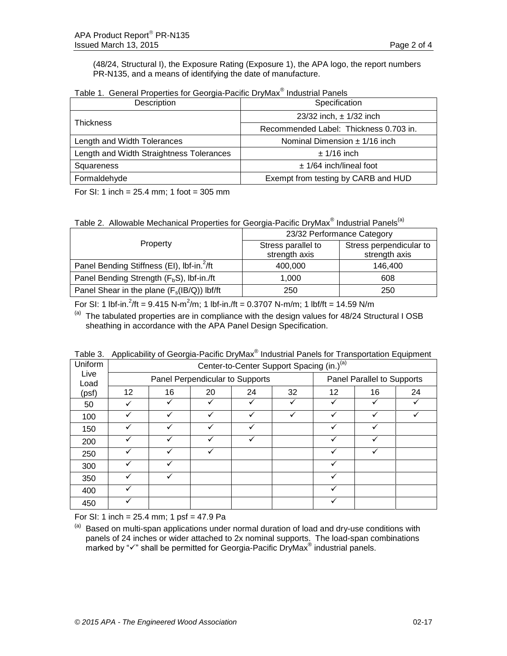(48/24, Structural I), the Exposure Rating (Exposure 1), the APA logo, the report numbers PR-N135, and a means of identifying the date of manufacture.

| Description                              | Specification                          |  |  |
|------------------------------------------|----------------------------------------|--|--|
| <b>Thickness</b>                         | 23/32 inch, $\pm$ 1/32 inch            |  |  |
|                                          | Recommended Label: Thickness 0.703 in. |  |  |
| Length and Width Tolerances              | Nominal Dimension $\pm$ 1/16 inch      |  |  |
| Length and Width Straightness Tolerances | $± 1/16$ inch                          |  |  |
| Squareness                               | $± 1/64$ inch/lineal foot              |  |  |
| Formaldehyde                             | Exempt from testing by CARB and HUD    |  |  |

Table 1. General Properties for Georgia-Pacific DryMax® Industrial Panels

For SI: 1 inch = 25.4 mm; 1 foot = 305 mm

Table 2. Allowable Mechanical Properties for Georgia-Pacific DryMax® Industrial Panels<sup>(a)</sup>

|                                                        | 23/32 Performance Category          |                                          |  |  |
|--------------------------------------------------------|-------------------------------------|------------------------------------------|--|--|
| Property                                               | Stress parallel to<br>strength axis | Stress perpendicular to<br>strength axis |  |  |
| Panel Bending Stiffness (EI), lbf-in. <sup>2</sup> /ft | 400,000                             | 146.400                                  |  |  |
| Panel Bending Strength (F <sub>b</sub> S), lbf-in./ft  | 1.000                               | 608                                      |  |  |
| Panel Shear in the plane $(F_s(B/Q))$ lbf/ft           | 250                                 | 250                                      |  |  |

For SI: 1 lbf-in.<sup>2</sup>/ft = 9.415 N-m<sup>2</sup>/m; 1 lbf-in./ft = 0.3707 N-m/m; 1 lbf/ft = 14.59 N/m

 $(a)$  The tabulated properties are in compliance with the design values for 48/24 Structural I OSB sheathing in accordance with the APA Panel Design Specification.

| Uniform      |                                 |    |    |    | Center-to-Center Support Spacing (in.) <sup>(a)</sup> |                            |    |    |
|--------------|---------------------------------|----|----|----|-------------------------------------------------------|----------------------------|----|----|
| Live<br>Load | Panel Perpendicular to Supports |    |    |    |                                                       | Panel Parallel to Supports |    |    |
| (psf)        | 12                              | 16 | 20 | 24 | 32                                                    | 12                         | 16 | 24 |
| 50           |                                 |    | ✓  |    |                                                       |                            |    |    |
| 100          |                                 |    | ✓  |    |                                                       |                            |    |    |
| 150          |                                 |    | ✓  | ✓  |                                                       |                            | ✓  |    |
| 200          |                                 |    |    |    |                                                       |                            |    |    |
| 250          |                                 |    |    |    |                                                       |                            |    |    |
| 300          |                                 |    |    |    |                                                       |                            |    |    |
| 350          |                                 |    |    |    |                                                       |                            |    |    |
| 400          |                                 |    |    |    |                                                       |                            |    |    |
| 450          |                                 |    |    |    |                                                       | ✓                          |    |    |

Table 3. Applicability of Georgia-Pacific DryMax<sup>®</sup> Industrial Panels for Transportation Equipment

For SI: 1 inch =  $25.4$  mm; 1 psf =  $47.9$  Pa

(a) Based on multi-span applications under normal duration of load and dry-use conditions with panels of 24 inches or wider attached to 2x nominal supports. The load-span combinations .<br>marked by "✓" shall be permitted for Georgia-Pacific DryMax<sup>®</sup> industrial panels.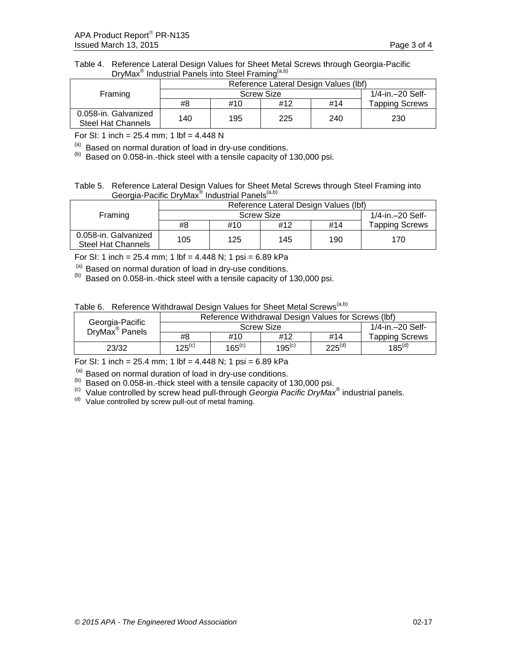## Table 4. Reference Lateral Design Values for Sheet Metal Screws through Georgia-Pacific DryMax<sup>®</sup> Industrial Panels into Steel Framing<sup>(a,b)</sup>

|                                                   | Reference Lateral Design Values (lbf) |                    |     |     |                       |
|---------------------------------------------------|---------------------------------------|--------------------|-----|-----|-----------------------|
| Framing                                           |                                       | 1/4-in. - 20 Self- |     |     |                       |
|                                                   | #8                                    | #10                | #12 | #14 | <b>Tapping Screws</b> |
| 0.058-in. Galvanized<br><b>Steel Hat Channels</b> | 140                                   | 195                | 225 | 240 | 230                   |

For SI: 1 inch =  $25.4$  mm; 1 lbf =  $4.448$  N

 $<sup>(a)</sup>$  Based on normal duration of load in dry-use conditions.</sup>

(b) Based on 0.058-in.-thick steel with a tensile capacity of 130,000 psi.

## Table 5. Reference Lateral Design Values for Sheet Metal Screws through Steel Framing into Georgia-Pacific DryMax® Industrial Panels<sup>(a,b)</sup>

|                                            | Reference Lateral Design Values (lbf) |     |     |     |                       |
|--------------------------------------------|---------------------------------------|-----|-----|-----|-----------------------|
| Framing                                    | <b>Screw Size</b>                     |     |     |     | 1/4-in. - 20 Self-    |
|                                            | #8                                    | #10 | #12 | #14 | <b>Tapping Screws</b> |
| 0.058-in. Galvanized<br>Steel Hat Channels | 105                                   | 125 | 145 | 190 | 170                   |

For SI: 1 inch = 25.4 mm; 1 lbf = 4.448 N; 1 psi = 6.89 kPa

 $(2)$  Based on normal duration of load in dry-use conditions.

(b) Based on 0.058-in.-thick steel with a tensile capacity of 130,000 psi.

| Table 6. Reference Withdrawal Design Values for Sheet Metal Screws <sup>(a,b)</sup> |  |  |
|-------------------------------------------------------------------------------------|--|--|
|                                                                                     |  |  |

|                                               | Reference Withdrawal Design Values for Screws (lbf) |             |             |             |                       |
|-----------------------------------------------|-----------------------------------------------------|-------------|-------------|-------------|-----------------------|
| Georgia-Pacific<br>DryMax <sup>®</sup> Panels | <b>Screw Size</b>                                   |             |             |             | 1/4-in.-20 Self-      |
|                                               | #8                                                  | #10         | #12         | #14         | <b>Tapping Screws</b> |
| 23/32                                         | $125^{(c)}$                                         | $165^{(c)}$ | $195^{(c)}$ | $225^{(d)}$ | $185^{(d)}$           |

For SI: 1 inch = 25.4 mm; 1 lbf = 4.448 N; 1 psi = 6.89 kPa

(a) Based on normal duration of load in dry-use conditions.

(b) Based on 0.058-in.-thick steel with a tensile capacity of 130,000 psi.

<sup>(c)</sup> Value controlled by screw head pull-through *Georgia Pacific DryMax*® industrial panels.

 $\frac{d}{dt}$  Value controlled by screw pull-out of metal framing.